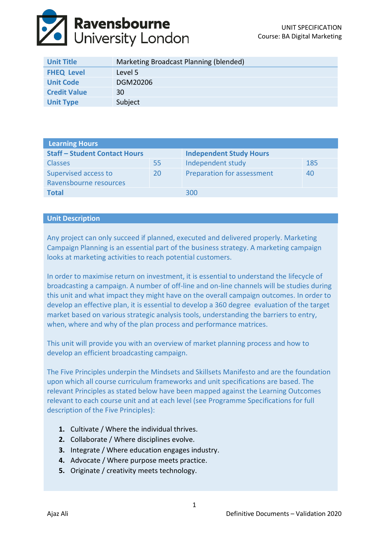

| <b>Unit Title</b>   | Marketing Broadcast Planning (blended) |
|---------------------|----------------------------------------|
| <b>FHEQ Level</b>   | Level 5                                |
| <b>Unit Code</b>    | DGM20206                               |
| <b>Credit Value</b> | 30                                     |
| <b>Unit Type</b>    | Subject                                |

| <b>Learning Hours</b>                |    |                                |     |  |
|--------------------------------------|----|--------------------------------|-----|--|
| <b>Staff - Student Contact Hours</b> |    | <b>Independent Study Hours</b> |     |  |
| <b>Classes</b>                       | 55 | Independent study              | 185 |  |
| Supervised access to                 | 20 | Preparation for assessment     | 40  |  |
| Ravensbourne resources               |    |                                |     |  |
| <b>Total</b>                         |    | 300                            |     |  |

## **Unit Description**

Any project can only succeed if planned, executed and delivered properly. Marketing Campaign Planning is an essential part of the business strategy. A marketing campaign looks at marketing activities to reach potential customers.

In order to maximise return on investment, it is essential to understand the lifecycle of broadcasting a campaign. A number of off-line and on-line channels will be studies during this unit and what impact they might have on the overall campaign outcomes. In order to develop an effective plan, it is essential to develop a 360 degree evaluation of the target market based on various strategic analysis tools, understanding the barriers to entry, when, where and why of the plan process and performance matrices.

This unit will provide you with an overview of market planning process and how to develop an efficient broadcasting campaign.

The Five Principles underpin the Mindsets and Skillsets Manifesto and are the foundation upon which all course curriculum frameworks and unit specifications are based. The relevant Principles as stated below have been mapped against the Learning Outcomes relevant to each course unit and at each level (see Programme Specifications for full description of the Five Principles):

- **1.** Cultivate / Where the individual thrives.
- **2.** Collaborate / Where disciplines evolve.
- **3.** Integrate / Where education engages industry.
- **4.** Advocate / Where purpose meets practice.
- **5.** Originate / creativity meets technology.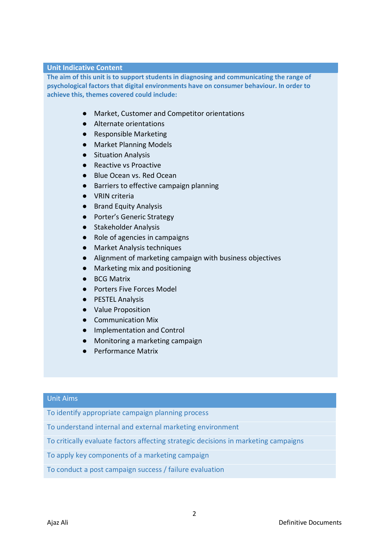#### **Unit Indicative Content**

**The aim of this unit is to support students in diagnosing and communicating the range of psychological factors that digital environments have on consumer behaviour. In order to achieve this, themes covered could include:**

- Market, Customer and Competitor orientations
- Alternate orientations
- Responsible Marketing
- Market Planning Models
- Situation Analysis
- Reactive vs Proactive
- Blue Ocean vs. Red Ocean
- Barriers to effective campaign planning
- VRIN criteria
- Brand Equity Analysis
- Porter's Generic Strategy
- Stakeholder Analysis
- Role of agencies in campaigns
- Market Analysis techniques
- Alignment of marketing campaign with business objectives
- Marketing mix and positioning
- BCG Matrix
- Porters Five Forces Model
- PESTEL Analysis
- Value Proposition
- Communication Mix
- Implementation and Control
- Monitoring a marketing campaign
- Performance Matrix

## Unit Aims

To identify appropriate campaign planning process

To understand internal and external marketing environment

To critically evaluate factors affecting strategic decisions in marketing campaigns

To apply key components of a marketing campaign

To conduct a post campaign success / failure evaluation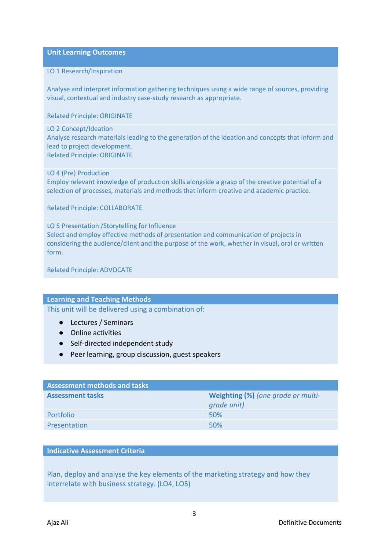**Unit Learning Outcomes**

#### LO 1 Research/Inspiration

Analyse and interpret information gathering techniques using a wide range of sources, providing visual, contextual and industry case-study research as appropriate.

Related Principle: ORIGINATE

#### LO 2 Concept/Ideation

Analyse research materials leading to the generation of the ideation and concepts that inform and lead to project development. Related Principle: ORIGINATE

LO 4 (Pre) Production

Employ relevant knowledge of production skills alongside a grasp of the creative potential of a selection of processes, materials and methods that inform creative and academic practice.

Related Principle: COLLABORATE

LO 5 Presentation /Storytelling for Influence Select and employ effective methods of presentation and communication of projects in considering the audience/client and the purpose of the work, whether in visual, oral or written form.

Related Principle: ADVOCATE

## **Learning and Teaching Methods**

This unit will be delivered using a combination of:

- Lectures / Seminars
- Online activities
- Self-directed independent study
- Peer learning, group discussion, guest speakers

| <b>Assessment methods and tasks</b> |                                                   |  |  |
|-------------------------------------|---------------------------------------------------|--|--|
| <b>Assessment tasks</b>             | Weighting (%) (one grade or multi-<br>grade unit) |  |  |
| Portfolio                           | 50%                                               |  |  |
| Presentation                        | 50%                                               |  |  |

## **Indicative Assessment Criteria**

Plan, deploy and analyse the key elements of the marketing strategy and how they interrelate with business strategy. (LO4, LO5)